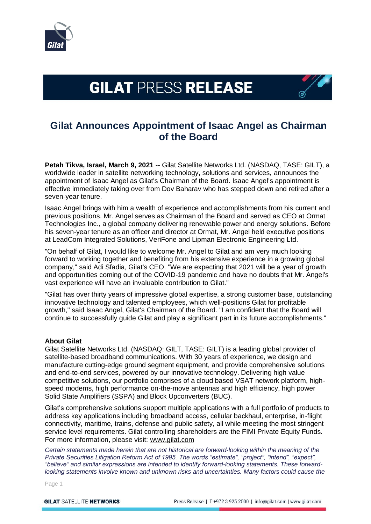

## **GILAT PRESS RELEASE**



## **Gilat Announces Appointment of Isaac Angel as Chairman of the Board**

**Petah Tikva, Israel, March 9, 2021** -- Gilat Satellite Networks Ltd. (NASDAQ, TASE: GILT), a worldwide leader in satellite networking technology, solutions and services, announces the appointment of Isaac Angel as Gilat's Chairman of the Board. Isaac Angel's appointment is effective immediately taking over from Dov Baharav who has stepped down and retired after a seven-year tenure.

Isaac Angel brings with him a wealth of experience and accomplishments from his current and previous positions. Mr. Angel serves as Chairman of the Board and served as CEO at Ormat Technologies Inc., a global company delivering renewable power and energy solutions. Before his seven-year tenure as an officer and director at Ormat, Mr. Angel held executive positions at LeadCom Integrated Solutions, VeriFone and Lipman Electronic Engineering Ltd.

"On behalf of Gilat, I would like to welcome Mr. Angel to Gilat and am very much looking forward to working together and benefiting from his extensive experience in a growing global company," said Adi Sfadia, Gilat's CEO. "We are expecting that 2021 will be a year of growth and opportunities coming out of the COVID-19 pandemic and have no doubts that Mr. Angel's vast experience will have an invaluable contribution to Gilat."

"Gilat has over thirty years of impressive global expertise, a strong customer base, outstanding innovative technology and talented employees, which well-positions Gilat for profitable growth," said Isaac Angel, Gilat's Chairman of the Board. "I am confident that the Board will continue to successfully guide Gilat and play a significant part in its future accomplishments."

## **About Gilat**

Gilat Satellite Networks Ltd. (NASDAQ: GILT, TASE: GILT) is a leading global provider of satellite-based broadband communications. With 30 years of experience, we design and manufacture cutting-edge ground segment equipment, and provide comprehensive solutions and end-to-end services, powered by our innovative technology. Delivering high value competitive solutions, our portfolio comprises of a cloud based VSAT network platform, highspeed modems, high performance on-the-move antennas and high efficiency, high power Solid State Amplifiers (SSPA) and Block Upconverters (BUC).

Gilat's comprehensive solutions support multiple applications with a full portfolio of products to address key applications including broadband access, cellular backhaul, enterprise, in-flight connectivity, maritime, trains, defense and public safety, all while meeting the most stringent service level requirements. Gilat controlling shareholders are the FIMI Private Equity Funds. For more information, please visit: [www.gilat.com](http://www.gilat.com/)

*Certain statements made herein that are not historical are forward-looking within the meaning of the Private Securities Litigation Reform Act of 1995. The words "estimate", "project", "intend", "expect", "believe" and similar expressions are intended to identify forward-looking statements. These forwardlooking statements involve known and unknown risks and uncertainties. Many factors could cause the* 

Page 1